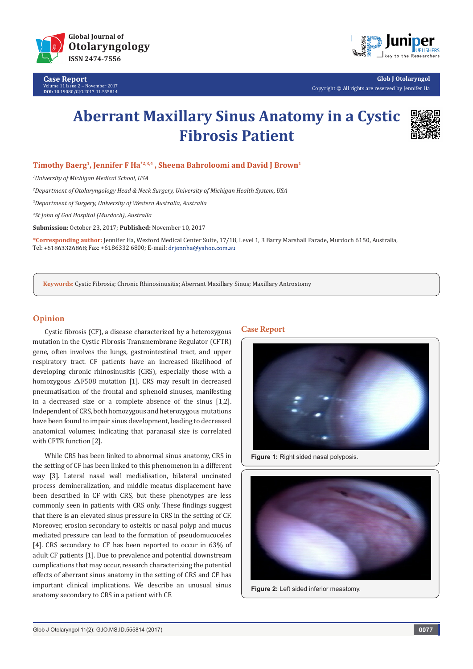

**Case Report** Volume 11 Issue 2 - November 2017 **DOI:** [10.19080/GJO.2017.11.555814](http://10.19080/GJO.2017.11.555814)



**Glob J Otolaryngol** Copyright © All rights are reserved by Jennifer Ha

# **Aberrant Maxillary Sinus Anatomy in a Cystic Fibrosis Patient**



### **Timothy Baerg1, Jennifer F Ha\*2,3,4 , Sheena Bahroloomi and David J Brown1**

*1 University of Michigan Medical School, USA* 

*2 Department of Otolaryngology Head & Neck Surgery, University of Michigan Health System, USA*

*3 Department of Surgery, University of Western Australia, Australia*

*4 St John of God Hospital (Murdoch), Australia*

**Submission:** October 23, 2017; **Published:** November 10, 2017

**\*Corresponding author:** Jennifer Ha, Wexford Medical Center Suite, 17/18, Level 1, 3 Barry Marshall Parade, Murdoch 6150, Australia, Tel: +61863326868; Fax: +6186332 6800; E-mail: drjennha@yahoo.com.au

**Keywords**: Cystic Fibrosis; Chronic Rhinosinusitis; Aberrant Maxillary Sinus; Maxillary Antrostomy

#### **Opinion**

Cystic fibrosis (CF), a disease characterized by a heterozygous mutation in the Cystic Fibrosis Transmembrane Regulator (CFTR) gene, often involves the lungs, gastrointestinal tract, and upper respiratory tract. CF patients have an increased likelihood of developing chronic rhinosinusitis (CRS), especially those with a homozygous  $\Delta$ F508 mutation [1]. CRS may result in decreased pneumatisation of the frontal and sphenoid sinuses, manifesting in a decreased size or a complete absence of the sinus [1,2]. Independent of CRS, both homozygous and heterozygous mutations have been found to impair sinus development, leading to decreased anatomical volumes; indicating that paranasal size is correlated with CFTR function [2].

While CRS has been linked to abnormal sinus anatomy, CRS in the setting of CF has been linked to this phenomenon in a different way [3]. Lateral nasal wall medialisation, bilateral uncinated process demineralization, and middle meatus displacement have been described in CF with CRS, but these phenotypes are less commonly seen in patients with CRS only. These findings suggest that there is an elevated sinus pressure in CRS in the setting of CF. Moreover, erosion secondary to osteitis or nasal polyp and mucus mediated pressure can lead to the formation of pseudomucoceles [4]. CRS secondary to CF has been reported to occur in 63% of adult CF patients [1]. Due to prevalence and potential downstream complications that may occur, research characterizing the potential effects of aberrant sinus anatomy in the setting of CRS and CF has important clinical implications. We describe an unusual sinus anatomy secondary to CRS in a patient with CF.

#### **Case Report**



**Figure 1:** Right sided nasal polyposis.



**Figure 2:** Left sided inferior meastomy.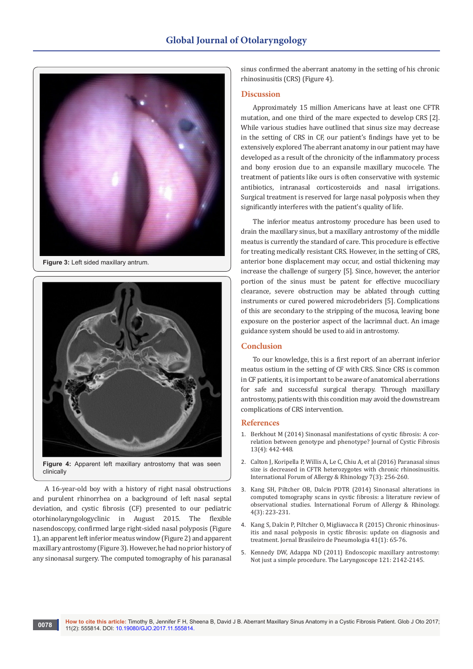

**Figure 3:** Left sided maxillary antrum.



clinically

A 16-year-old boy with a history of right nasal obstructions and purulent rhinorrhea on a background of left nasal septal deviation, and cystic fibrosis (CF) presented to our pediatric otorhinolaryngologyclinic in August 2015. The flexible nasendoscopy, confirmed large right-sided nasal polyposis (Figure 1), an apparent left inferior meatus window (Figure 2) and apparent maxillary antrostomy (Figure 3). However, he had no prior history of any sinonasal surgery. The computed tomography of his paranasal

sinus confirmed the aberrant anatomy in the setting of his chronic rhinosinusitis (CRS) (Figure 4).

### **Discussion**

Approximately 15 million Americans have at least one CFTR mutation, and one third of the mare expected to develop CRS [2]. While various studies have outlined that sinus size may decrease in the setting of CRS in CF, our patient's findings have yet to be extensively explored The aberrant anatomy in our patient may have developed as a result of the chronicity of the inflammatory process and bony erosion due to an expansile maxillary mucocele. The treatment of patients like ours is often conservative with systemic antibiotics, intranasal corticosteroids and nasal irrigations. Surgical treatment is reserved for large nasal polyposis when they significantly interferes with the patient's quality of life.

The inferior meatus antrostomy procedure has been used to drain the maxillary sinus, but a maxillary antrostomy of the middle meatus is currently the standard of care. This procedure is effective for treating medically resistant CRS. However, in the setting of CRS, anterior bone displacement may occur, and ostial thickening may increase the challenge of surgery [5]. Since, however, the anterior portion of the sinus must be patent for effective mucociliary clearance, severe obstruction may be ablated through cutting instruments or cured powered microdebriders [5]. Complications of this are secondary to the stripping of the mucosa, leaving bone exposure on the posterior aspect of the lacrimnal duct. An image guidance system should be used to aid in antrostomy.

## **Conclusion**

To our knowledge, this is a first report of an aberrant inferior meatus ostium in the setting of CF with CRS. Since CRS is common in CF patients, it is important to be aware of anatomical aberrations for safe and successful surgical therapy. Through maxillary antrostomy, patients with this condition may avoid the downstream complications of CRS intervention.

#### **References**

- 1. [Berkhout M \(2014\) Sinonasal manifestations of cystic fibrosis: A cor](http://www.sciencedirect.com/science/article/pii/S1569199313001689)[relation between genotype and phenotype? Journal of Cystic Fibrosis](http://www.sciencedirect.com/science/article/pii/S1569199313001689)  [13\(4\): 442-448.](http://www.sciencedirect.com/science/article/pii/S1569199313001689)
- 2. [Calton J, Koripella P, Willis A, Le C, Chiu A, et al \(2016\) Paranasal sinus](https://www.ncbi.nlm.nih.gov/pubmed/27860385)  [size is decreased in CFTR heterozygotes with chronic rhinosinusitis.](https://www.ncbi.nlm.nih.gov/pubmed/27860385)  [International Forum of Allergy & Rhinology 7\(3\): 256-260.](https://www.ncbi.nlm.nih.gov/pubmed/27860385)
- 3. [Kang SH, Piltcher OB, Dalcin PDTR \(2014\) Sinonasal alterations in](https://www.ncbi.nlm.nih.gov/pubmed/24415497)  [computed tomography scans in cystic fibrosis: a literature review of](https://www.ncbi.nlm.nih.gov/pubmed/24415497)  [observational studies. International Forum of Allergy & Rhinology.](https://www.ncbi.nlm.nih.gov/pubmed/24415497)  [4\(3\): 223-231.](https://www.ncbi.nlm.nih.gov/pubmed/24415497)
- 4. [Kang S, Dalcin P, Piltcher O, Migliavacca R \(2015\) Chronic rhinosinus](https://www.ncbi.nlm.nih.gov/pmc/articles/PMC4350827/)[itis and nasal polyposis in cystic fibrosis: update on diagnosis and](https://www.ncbi.nlm.nih.gov/pmc/articles/PMC4350827/)  [treatment. Jornal Brasileiro de Pneumologia 41\(1\): 65-76.](https://www.ncbi.nlm.nih.gov/pmc/articles/PMC4350827/)
- 5. [Kennedy DW, Adappa ND \(2011\) Endoscopic maxillary antrostomy:](https://www.ncbi.nlm.nih.gov/pubmed/21796640)  [Not just a simple procedure. The Laryngoscope 121: 2142-2145.](https://www.ncbi.nlm.nih.gov/pubmed/21796640)